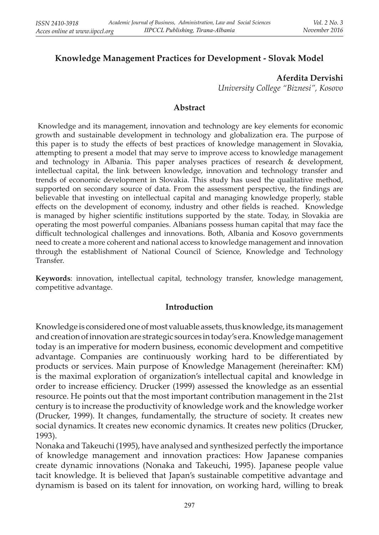# **Knowledge Management Practices for Development - Slovak Model**

### **Aferdita Dervishi**

*University College "Biznesi", Kosovo*

### **Abstract**

 Knowledge and its management, innovation and technology are key elements for economic growth and sustainable development in technology and globalization era. The purpose of this paper is to study the effects of best practices of knowledge management in Slovakia, attempting to present a model that may serve to improve access to knowledge management and technology in Albania. This paper analyses practices of research & development, intellectual capital, the link between knowledge, innovation and technology transfer and trends of economic development in Slovakia. This study has used the qualitative method, supported on secondary source of data. From the assessment perspective, the findings are believable that investing on intellectual capital and managing knowledge properly, stable effects on the development of economy, industry and other fields is reached. Knowledge is managed by higher scientific institutions supported by the state. Today, in Slovakia are operating the most powerful companies. Albanians possess human capital that may face the difficult technological challenges and innovations. Both, Albania and Kosovo governments need to create a more coherent and national access to knowledge management and innovation through the establishment of National Council of Science, Knowledge and Technology Transfer.

**Keywords**: innovation, intellectual capital, technology transfer, knowledge management, competitive advantage.

#### **Introduction**

Knowledge is considered one of most valuable assets, thus knowledge, its management and creation of innovation are strategic sources in today's era. Knowledge management today is an imperative for modern business, economic development and competitive advantage. Companies are continuously working hard to be differentiated by products or services. Main purpose of Knowledge Management (hereinafter: KM) is the maximal exploration of organization's intellectual capital and knowledge in order to increase efficiency. Drucker (1999) assessed the knowledge as an essential resource. He points out that the most important contribution management in the 21st century is to increase the productivity of knowledge work and the knowledge worker (Drucker, 1999). It changes, fundamentally, the structure of society. It creates new social dynamics. It creates new economic dynamics. It creates new politics (Drucker, 1993).

Nonaka and Takeuchi (1995), have analysed and synthesized perfectly the importance of knowledge management and innovation practices: How Japanese companies create dynamic innovations (Nonaka and Takeuchi, 1995). Japanese people value tacit knowledge. It is believed that Japan's sustainable competitive advantage and dynamism is based on its talent for innovation, on working hard, willing to break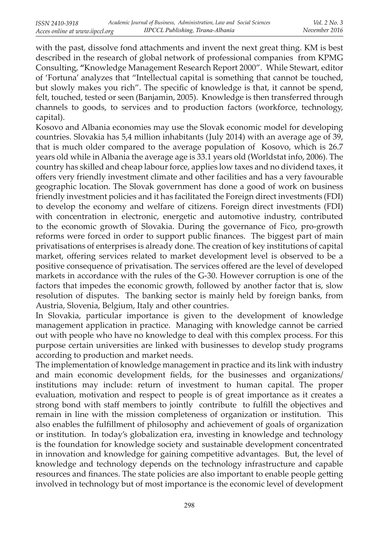with the past, dissolve fond attachments and invent the next great thing. KM is best described in the research of global network of professional companies from KPMG Consulting, **"**Knowledge Management Research Report 2000". While Stewart, editor of 'Fortuna' analyzes that "Intellectual capital is something that cannot be touched, but slowly makes you rich". The specific of knowledge is that, it cannot be spend, felt, touched, tested or seen (Banjamin, 2005). Knowledge is then transferred through channels to goods, to services and to production factors (workforce, technology, capital).

Kosovo and Albania economies may use the Slovak economic model for developing countries. Slovakia has 5,4 million inhabitants (July 2014) with an average age of 39, that is much older compared to the average population of Kosovo, which is 26.7 years old while in Albania the average age is 33.1 years old (Worldstat info, 2006). The country has skilled and cheap labour force, applies low taxes and no dividend taxes, it offers very friendly investment climate and other facilities and has a very favourable geographic location. The Slovak government has done a good of work on business friendly investment policies and it has facilitated the Foreign direct investments (FDI) to develop the economy and welfare of citizens. Foreign direct investments (FDI) with concentration in electronic, energetic and automotive industry, contributed to the economic growth of Slovakia. During the governance of Fico, pro-growth reforms were forced in order to support public finances. The biggest part of main privatisations of enterprises is already done. The creation of key institutions of capital market, offering services related to market development level is observed to be a positive consequence of privatisation. The services offered are the level of developed markets in accordance with the rules of the G-30. However corruption is one of the factors that impedes the economic growth, followed by another factor that is, slow resolution of disputes. The banking sector is mainly held by foreign banks, from Austria, Slovenia, Belgium, Italy and other countries.

In Slovakia, particular importance is given to the development of knowledge management application in practice. Managing with knowledge cannot be carried out with people who have no knowledge to deal with this complex process. For this purpose certain universities are linked with businesses to develop study programs according to production and market needs.

The implementation of knowledge management in practice and its link with industry and main economic development fields, for the businesses and organizations/ institutions may include: return of investment to human capital. The proper evaluation, motivation and respect to people is of great importance as it creates a strong bond with staff members to jointly contribute to fulfill the objectives and remain in line with the mission completeness of organization or institution. This also enables the fulfillment of philosophy and achievement of goals of organization or institution. In today's globalization era, investing in knowledge and technology is the foundation for knowledge society and sustainable development concentrated in innovation and knowledge for gaining competitive advantages. But, the level of knowledge and technology depends on the technology infrastructure and capable resources and finances. The state policies are also important to enable people getting involved in technology but of most importance is the economic level of development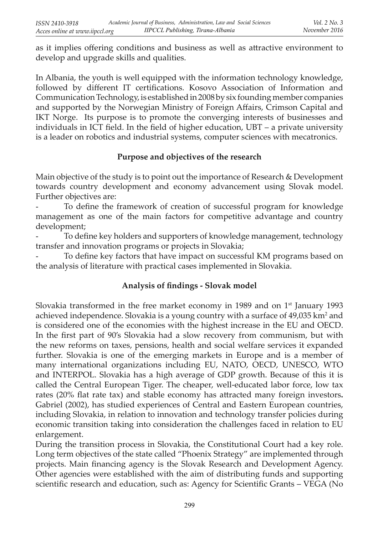as it implies offering conditions and business as well as attractive environment to develop and upgrade skills and qualities.

In Albania, the youth is well equipped with the information technology knowledge, followed by different IT certifications. Kosovo Association of Information and Communication Technology, is established in 2008 by six founding member companies and supported by the Norwegian Ministry of Foreign Affairs, Crimson Capital and IKT Norge. Its purpose is to promote the converging interests of businesses and individuals in ICT field. In the field of higher education,  $UBT - a$  private university is a leader on robotics and industrial systems, computer sciences with mecatronics.

### **Purpose and objectives of the research**

Main objective of the study is to point out the importance of Research & Development towards country development and economy advancement using Slovak model. Further objectives are:

To define the framework of creation of successful program for knowledge management as one of the main factors for competitive advantage and country development;

To define key holders and supporters of knowledge management, technology transfer and innovation programs or projects in Slovakia;

To define key factors that have impact on successful KM programs based on the analysis of literature with practical cases implemented in Slovakia.

## Analysis of findings - Slovak model

Slovakia transformed in the free market economy in 1989 and on  $1<sup>st</sup>$  January 1993 achieved independence. Slovakia is a young country with a surface of  $49,035$  km<sup>2</sup> and is considered one of the economies with the highest increase in the EU and OECD. In the first part of 90's Slovakia had a slow recovery from communism, but with the new reforms on taxes, pensions, health and social welfare services it expanded further. Slovakia is one of the emerging markets in Europe and is a member of many international organizations including EU, NATO, OECD, UNESCO, WTO and INTERPOL. Slovakia has a high average of GDP growth. Because of this it is called the Central European Tiger. The cheaper, well-educated labor force, low tax rates (20% flat rate tax) and stable economy has attracted many foreign investors. Gabriel (2002), has studied experiences of Central and Eastern European countries, including Slovakia, in relation to innovation and technology transfer policies during economic transition taking into consideration the challenges faced in relation to EU enlargement.

During the transition process in Slovakia, the Constitutional Court had a key role. Long term objectives of the state called "Phoenix Strategy" are implemented through projects. Main financing agency is the Slovak Research and Development Agency. Other agencies were established with the aim of distributing funds and supporting scientific research and education, such as: Agency for Scientific Grants – VEGA (No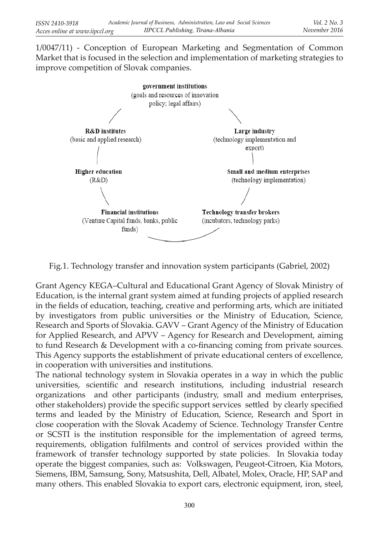1/0047/11) - Conception of European Marketing and Segmentation of Common Market that is focused in the selection and implementation of marketing strategies to improve competition of Slovak companies.



Fig.1. Technology transfer and innovation system participants (Gabriel, 2002)

Grant Agency KEGA–Cultural and Educational Grant Agency of Slovak Ministry of Education, is the internal grant system aimed at funding projects of applied research in the fields of education, teaching, creative and performing arts, which are initiated by investigators from public universities or the Ministry of Education, Science, Research and Sports of Slovakia. GAVV – Grant Agency of the Ministry of Education for Applied Research, and APVV – Agency for Research and Development, aiming to fund Research & Development with a co-financing coming from private sources. This Agency supports the establishment of private educational centers of excellence, in cooperation with universities and institutions.

The national technology system in Slovakia operates in a way in which the public universities, scientific and research institutions, including industrial research organizations and other participants (industry, small and medium enterprises, other stakeholders) provide the specific support services settled by clearly specified terms and leaded by the Ministry of Education, Science, Research and Sport in close cooperation with the Slovak Academy of Science. Technology Transfer Centre or SCSTI is the institution responsible for the implementation of agreed terms, requirements, obligation fulfilments and control of services provided within the framework of transfer technology supported by state policies. In Slovakia today operate the biggest companies, such as: Volkswagen, Peugeot-Citroen, Kia Motors, Siemens, IBM, Samsung, Sony, Matsushita, Dell, Albatel, Molex, Oracle, HP, SAP and many others. This enabled Slovakia to export cars, electronic equipment, iron, steel,